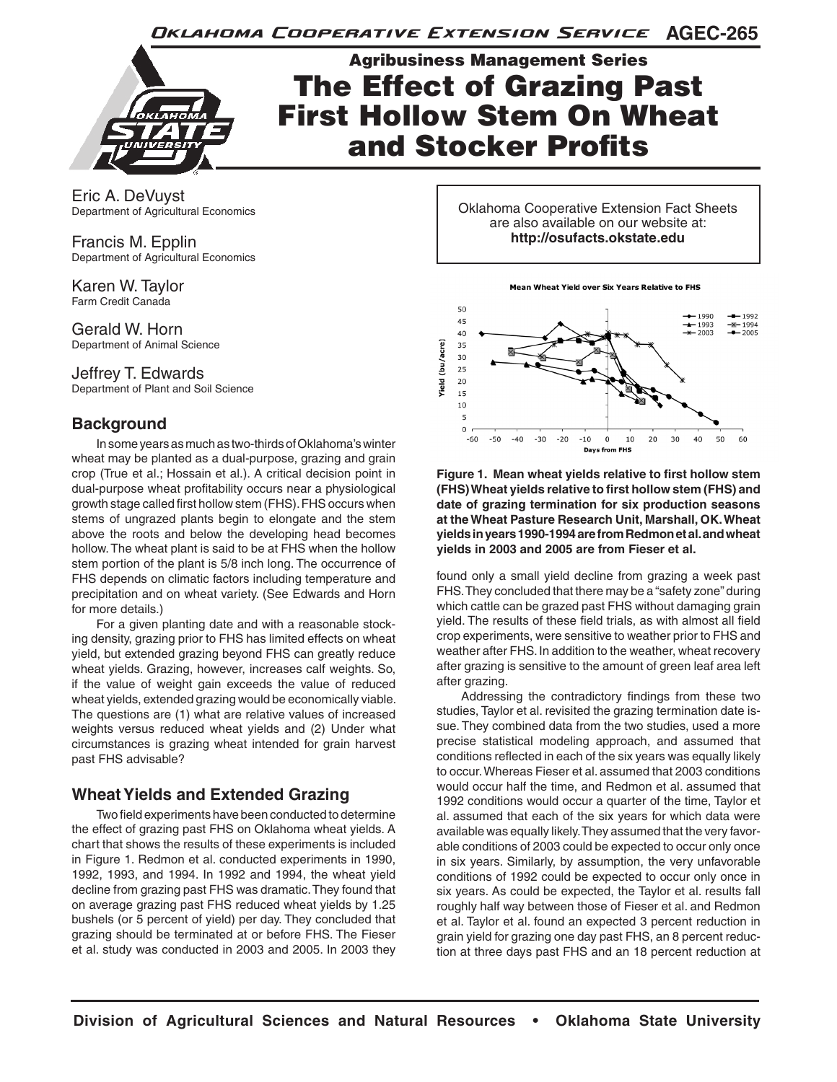Oklahoma Cooperative Extension Service AGEC-265



Agribusiness Management Series The Effect of Grazing Past First Hollow Stem On Wheat and Stocker Profits

Eric A. DeVuyst Department of Agricultural Economics

Francis M. Epplin Department of Agricultural Economics

Karen W. Taylor Farm Credit Canada

Gerald W. Horn Department of Animal Science

### Jeffrey T. Edwards

Department of Plant and Soil Science

## **Background**

In some years as much as two-thirds of Oklahoma's winter wheat may be planted as a dual-purpose, grazing and grain crop (True et al.; Hossain et al.). A critical decision point in dual-purpose wheat profitability occurs near a physiological growth stage called first hollow stem (FHS). FHS occurs when stems of ungrazed plants begin to elongate and the stem above the roots and below the developing head becomes hollow. The wheat plant is said to be at FHS when the hollow stem portion of the plant is 5/8 inch long. The occurrence of FHS depends on climatic factors including temperature and precipitation and on wheat variety. (See Edwards and Horn for more details.)

For a given planting date and with a reasonable stocking density, grazing prior to FHS has limited effects on wheat yield, but extended grazing beyond FHS can greatly reduce wheat yields. Grazing, however, increases calf weights. So, if the value of weight gain exceeds the value of reduced wheat yields, extended grazing would be economically viable. The questions are (1) what are relative values of increased weights versus reduced wheat yields and (2) Under what circumstances is grazing wheat intended for grain harvest past FHS advisable?

## **Wheat Yields and Extended Grazing**

Two field experiments have been conducted to determine the effect of grazing past FHS on Oklahoma wheat yields. A chart that shows the results of these experiments is included in Figure 1. Redmon et al. conducted experiments in 1990, 1992, 1993, and 1994. In 1992 and 1994, the wheat yield decline from grazing past FHS was dramatic. They found that on average grazing past FHS reduced wheat yields by 1.25 bushels (or 5 percent of yield) per day. They concluded that grazing should be terminated at or before FHS. The Fieser et al. study was conducted in 2003 and 2005. In 2003 they Oklahoma Cooperative Extension Fact Sheets are also available on our website at: **http://osufacts.okstate.edu**

**Mean Wheat Yield over Six Years Relative to FHS** 



**Figure 1. Mean wheat yields relative to first hollow stem (FHS) Wheat yields relative to first hollow stem (FHS) and date of grazing termination for six production seasons at the Wheat Pasture Research Unit, Marshall, OK. Wheat yields in years 1990-1994 are from Redmon et al. and wheat yields in 2003 and 2005 are from Fieser et al.**

found only a small yield decline from grazing a week past FHS. They concluded that there may be a "safety zone" during which cattle can be grazed past FHS without damaging grain yield. The results of these field trials, as with almost all field crop experiments, were sensitive to weather prior to FHS and weather after FHS. In addition to the weather, wheat recovery after grazing is sensitive to the amount of green leaf area left after grazing.

Addressing the contradictory findings from these two studies, Taylor et al. revisited the grazing termination date issue. They combined data from the two studies, used a more precise statistical modeling approach, and assumed that conditions reflected in each of the six years was equally likely to occur. Whereas Fieser et al. assumed that 2003 conditions would occur half the time, and Redmon et al. assumed that 1992 conditions would occur a quarter of the time, Taylor et al. assumed that each of the six years for which data were available was equally likely. They assumed that the very favorable conditions of 2003 could be expected to occur only once in six years. Similarly, by assumption, the very unfavorable conditions of 1992 could be expected to occur only once in six years. As could be expected, the Taylor et al. results fall roughly half way between those of Fieser et al. and Redmon et al. Taylor et al. found an expected 3 percent reduction in grain yield for grazing one day past FHS, an 8 percent reduction at three days past FHS and an 18 percent reduction at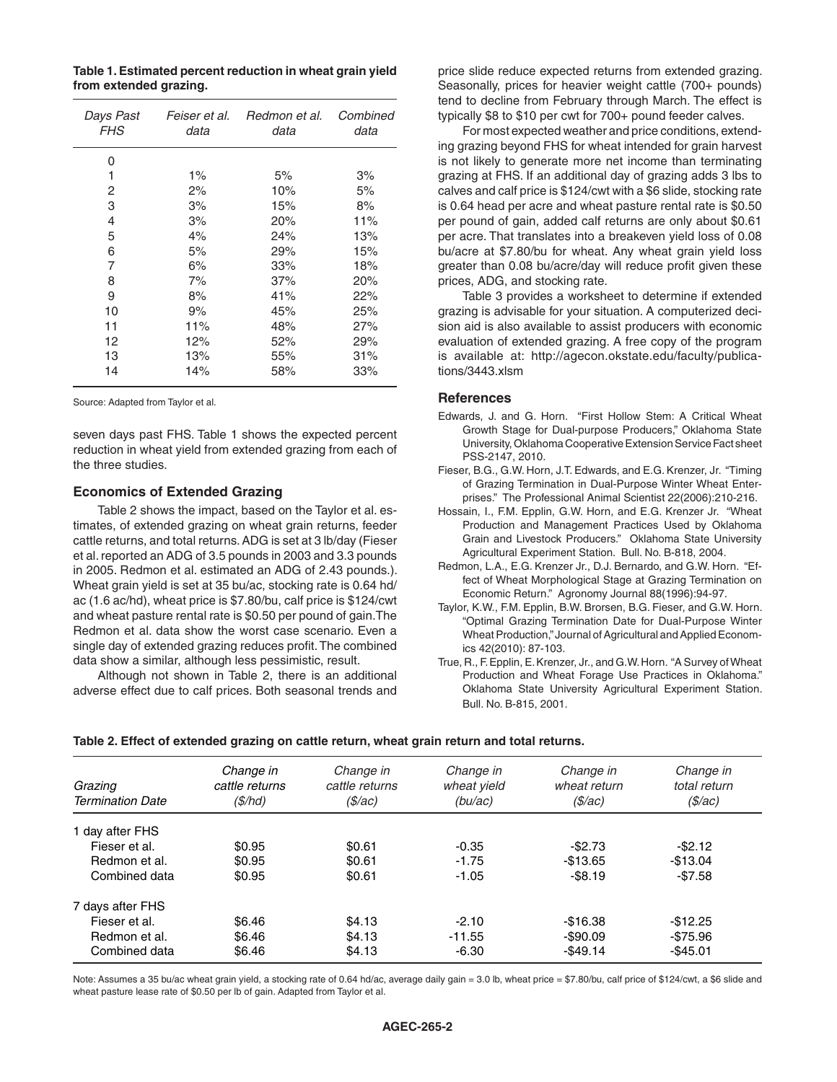**Table 1. Estimated percent reduction in wheat grain yield from extended grazing.**

| Days Past<br><b>FHS</b> | Feiser et al.<br>data | Redmon et al.<br>data | Combined<br>data |
|-------------------------|-----------------------|-----------------------|------------------|
| 0                       |                       |                       |                  |
| 1                       | $1\%$                 | 5%                    | 3%               |
| 2                       | 2%                    | 10%                   | 5%               |
| 3                       | 3%                    | 15%                   | 8%               |
| 4                       | 3%                    | 20%                   | 11%              |
| 5                       | 4%                    | 24%                   | 13%              |
| 6                       | 5%                    | 29%                   | 15%              |
| 7                       | 6%                    | 33%                   | 18%              |
| 8                       | 7%                    | 37%                   | 20%              |
| 9                       | 8%                    | 41%                   | 22%              |
| 10                      | 9%                    | 45%                   | 25%              |
| 11                      | 11%                   | 48%                   | 27%              |
| 12                      | 12%                   | 52%                   | 29%              |
| 13                      | 13%                   | 55%                   | 31%              |
| 14                      | 14%                   | 58%                   | 33%              |

Source: Adapted from Taylor et al.

seven days past FHS. Table 1 shows the expected percent reduction in wheat yield from extended grazing from each of the three studies.

#### **Economics of Extended Grazing**

Table 2 shows the impact, based on the Taylor et al. estimates, of extended grazing on wheat grain returns, feeder cattle returns, and total returns. ADG is set at 3 lb/day (Fieser et al. reported an ADG of 3.5 pounds in 2003 and 3.3 pounds in 2005. Redmon et al. estimated an ADG of 2.43 pounds.). Wheat grain yield is set at 35 bu/ac, stocking rate is 0.64 hd/ ac (1.6 ac/hd), wheat price is \$7.80/bu, calf price is \$124/cwt and wheat pasture rental rate is \$0.50 per pound of gain.The Redmon et al. data show the worst case scenario. Even a single day of extended grazing reduces profit. The combined data show a similar, although less pessimistic, result.

Although not shown in Table 2, there is an additional adverse effect due to calf prices. Both seasonal trends and

price slide reduce expected returns from extended grazing. Seasonally, prices for heavier weight cattle (700+ pounds) tend to decline from February through March. The effect is typically \$8 to \$10 per cwt for 700+ pound feeder calves.

For most expected weather and price conditions, extending grazing beyond FHS for wheat intended for grain harvest is not likely to generate more net income than terminating grazing at FHS. If an additional day of grazing adds 3 lbs to calves and calf price is \$124/cwt with a \$6 slide, stocking rate is 0.64 head per acre and wheat pasture rental rate is \$0.50 per pound of gain, added calf returns are only about \$0.61 per acre. That translates into a breakeven yield loss of 0.08 bu/acre at \$7.80/bu for wheat. Any wheat grain yield loss greater than 0.08 bu/acre/day will reduce profit given these prices, ADG, and stocking rate.

Table 3 provides a worksheet to determine if extended grazing is advisable for your situation. A computerized decision aid is also available to assist producers with economic evaluation of extended grazing. A free copy of the program is available at: http://agecon.okstate.edu/faculty/publications/3443.xlsm

#### **References**

- Edwards, J. and G. Horn. "First Hollow Stem: A Critical Wheat Growth Stage for Dual-purpose Producers," Oklahoma State University, Oklahoma Cooperative Extension Service Fact sheet PSS-2147, 2010.
- Fieser, B.G., G.W. Horn, J.T. Edwards, and E.G. Krenzer, Jr. "Timing of Grazing Termination in Dual-Purpose Winter Wheat Enterprises." The Professional Animal Scientist 22(2006):210-216.
- Hossain, I., F.M. Epplin, G.W. Horn, and E.G. Krenzer Jr. "Wheat Production and Management Practices Used by Oklahoma Grain and Livestock Producers." Oklahoma State University Agricultural Experiment Station. Bull. No. B-818, 2004.
- Redmon, L.A., E.G. Krenzer Jr., D.J. Bernardo, and G.W. Horn. "Effect of Wheat Morphological Stage at Grazing Termination on Economic Return." Agronomy Journal 88(1996):94-97.
- Taylor, K.W., F.M. Epplin, B.W. Brorsen, B.G. Fieser, and G.W. Horn. "Optimal Grazing Termination Date for Dual-Purpose Winter Wheat Production," Journal of Agricultural and Applied Economics 42(2010): 87-103.
- True, R., F. Epplin, E. Krenzer, Jr., and G.W. Horn. "A Survey of Wheat Production and Wheat Forage Use Practices in Oklahoma." Oklahoma State University Agricultural Experiment Station. Bull. No. B-815, 2001.

| Grazing<br><b>Termination Date</b> | Change in<br>cattle returns<br>$(\$/hd)$ | Change in<br>cattle returns<br>( <i>\$/ac</i> ) | Change in<br>wheat yield<br>(bu/ac) | Change in<br>wheat return<br>(\$/ac) | Change in<br>total return<br>( <i>\$/ac</i> ) |
|------------------------------------|------------------------------------------|-------------------------------------------------|-------------------------------------|--------------------------------------|-----------------------------------------------|
| 1 dav after FHS                    |                                          |                                                 |                                     |                                      |                                               |
| Fieser et al.                      | \$0.95                                   | \$0.61                                          | $-0.35$                             | $-$2.73$                             | $-$ \$2.12                                    |
| Redmon et al.                      | \$0.95                                   | \$0.61                                          | $-1.75$                             | $-$13.65$                            | $-$13.04$                                     |
| Combined data                      | \$0.95                                   | \$0.61                                          | $-1.05$                             | $-$8.19$                             | $-$7.58$                                      |
| 7 davs after FHS                   |                                          |                                                 |                                     |                                      |                                               |
| Fieser et al.                      | \$6.46                                   | \$4.13                                          | $-2.10$                             | $-$16.38$                            | $-$12.25$                                     |
| Redmon et al.                      | \$6.46                                   | \$4.13                                          | $-11.55$                            | $-$90.09$                            | $-$75.96$                                     |
| Combined data                      | \$6.46                                   | \$4.13                                          | $-6.30$                             | $-$49.14$                            | $-$45.01$                                     |

**Table 2. Effect of extended grazing on cattle return, wheat grain return and total returns.**

Note: Assumes a 35 bu/ac wheat grain yield, a stocking rate of 0.64 hd/ac, average daily gain = 3.0 lb, wheat price = \$7.80/bu, calf price of \$124/cwt, a \$6 slide and wheat pasture lease rate of \$0.50 per lb of gain. Adapted from Taylor et al.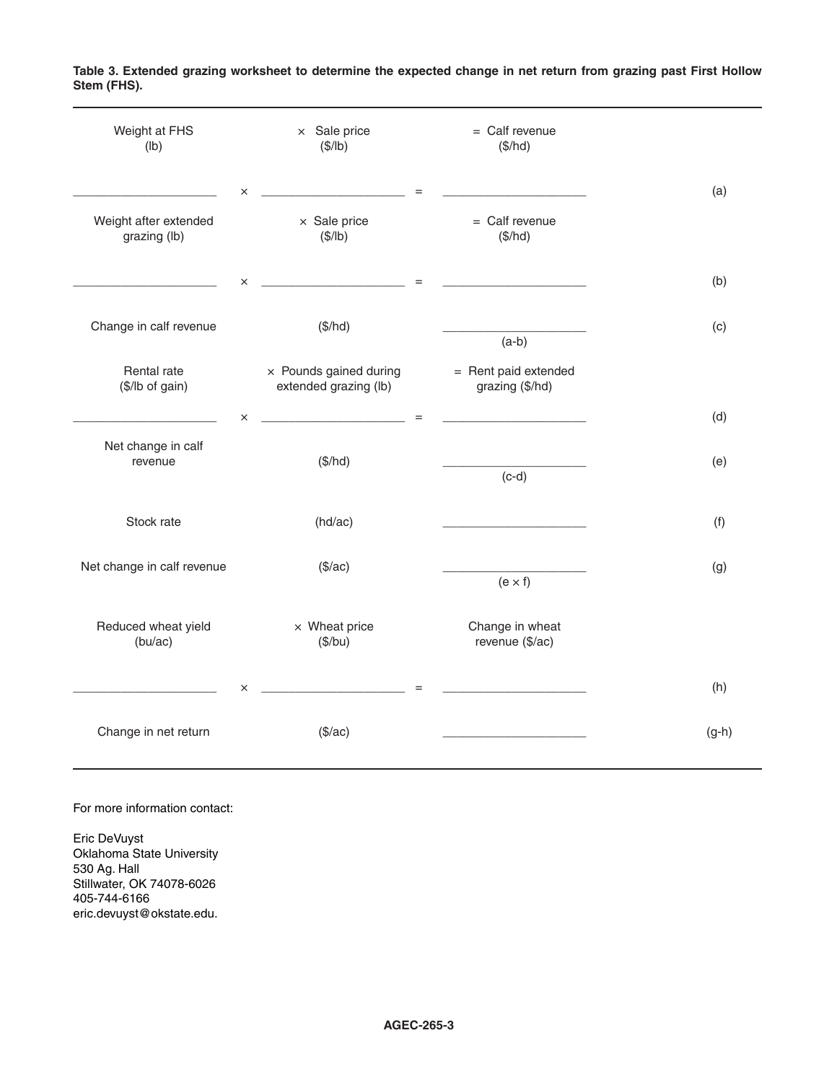| Weight at FHS<br>(Ib)                   | $\times$ Sale price<br>(\$/lb)                         | $=$ Calf revenue<br>(\$/hd)                                                                                                                                                                                                                 |         |
|-----------------------------------------|--------------------------------------------------------|---------------------------------------------------------------------------------------------------------------------------------------------------------------------------------------------------------------------------------------------|---------|
| Weight after extended<br>grazing (lb)   | $\times$<br>$\times$ Sale price<br>(\$/lb)             | $=$<br>$=$ Calf revenue<br>(\$/hd)                                                                                                                                                                                                          | (a)     |
| <u> 1989 - Johann Barbara, martin a</u> | $\times$                                               | the contract of the contract of the contract of the contract of the contract of                                                                                                                                                             | (b)     |
| Change in calf revenue                  | (\$/hd)                                                | $(a-b)$                                                                                                                                                                                                                                     | (c)     |
| Rental rate<br>(\$/lb of gain)          | $\times$ Pounds gained during<br>extended grazing (lb) | = Rent paid extended<br>grazing (\$/hd)                                                                                                                                                                                                     |         |
| the company of the company of the       | $\times$<br><u> 1989 - Johann Barbara, martin a</u>    | $=$<br><u> 1989 - Johann Harry Harry Harry Harry Harry Harry Harry Harry Harry Harry Harry Harry Harry Harry Harry Harry Harry Harry Harry Harry Harry Harry Harry Harry Harry Harry Harry Harry Harry Harry Harry Harry Harry Harry Ha</u> | (d)     |
| Net change in calf<br>revenue           | (\$/hd)                                                | $(c-d)$                                                                                                                                                                                                                                     | (e)     |
| Stock rate                              | (hd/ac)                                                | <u> 1989 - Johann John Harry Harry Harry Harry Harry Harry Harry Harry Harry Harry Harry Harry Harry Harry Harry Harry Harry Harry Harry Harry Harry Harry Harry Harry Harry Harry Harry Harry Harry Harry Harry Harry Harry Har</u>        | (f)     |
| Net change in calf revenue              | (\$/ac)                                                | $(e \times f)$                                                                                                                                                                                                                              | (g)     |
| Reduced wheat yield<br>(bu/ac)          | $\times$ Wheat price<br>(\$/bu)                        | Change in wheat<br>revenue (\$/ac)                                                                                                                                                                                                          |         |
|                                         | $\times$                                               | $=$                                                                                                                                                                                                                                         | (h)     |
| Change in net return                    | (\$/ac)                                                |                                                                                                                                                                                                                                             | $(g-h)$ |

**Table 3. Extended grazing worksheet to determine the expected change in net return from grazing past First Hollow Stem (FHS).**

For more information contact:

Eric DeVuyst Oklahoma State University 530 Ag. Hall Stillwater, OK 74078-6026 405-744-6166 eric.devuyst@okstate.edu.